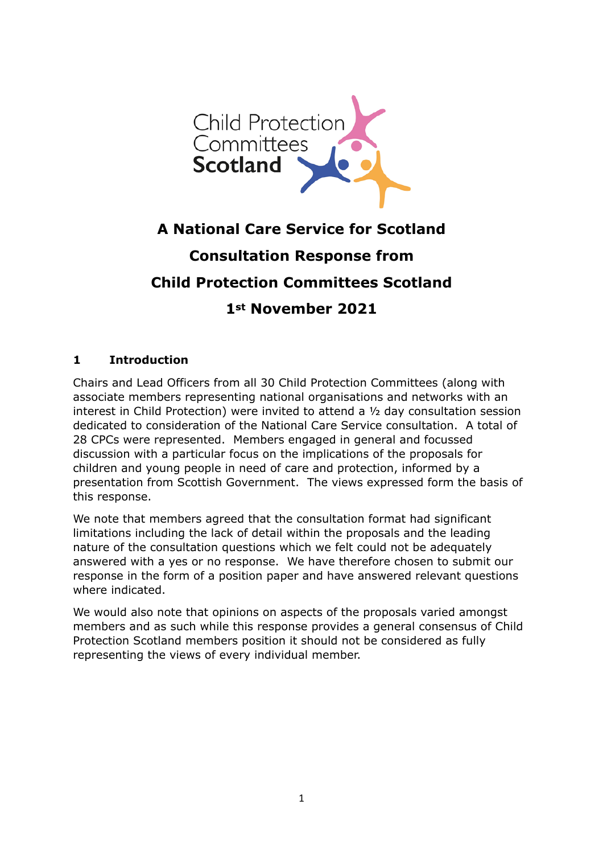

# **A National Care Service for Scotland Consultation Response from Child Protection Committees Scotland 1st November 2021**

# **1 Introduction**

Chairs and Lead Officers from all 30 Child Protection Committees (along with associate members representing national organisations and networks with an interest in Child Protection) were invited to attend a ½ day consultation session dedicated to consideration of the National Care Service consultation. A total of 28 CPCs were represented. Members engaged in general and focussed discussion with a particular focus on the implications of the proposals for children and young people in need of care and protection, informed by a presentation from Scottish Government. The views expressed form the basis of this response.

We note that members agreed that the consultation format had significant limitations including the lack of detail within the proposals and the leading nature of the consultation questions which we felt could not be adequately answered with a yes or no response. We have therefore chosen to submit our response in the form of a position paper and have answered relevant questions where indicated.

We would also note that opinions on aspects of the proposals varied amongst members and as such while this response provides a general consensus of Child Protection Scotland members position it should not be considered as fully representing the views of every individual member.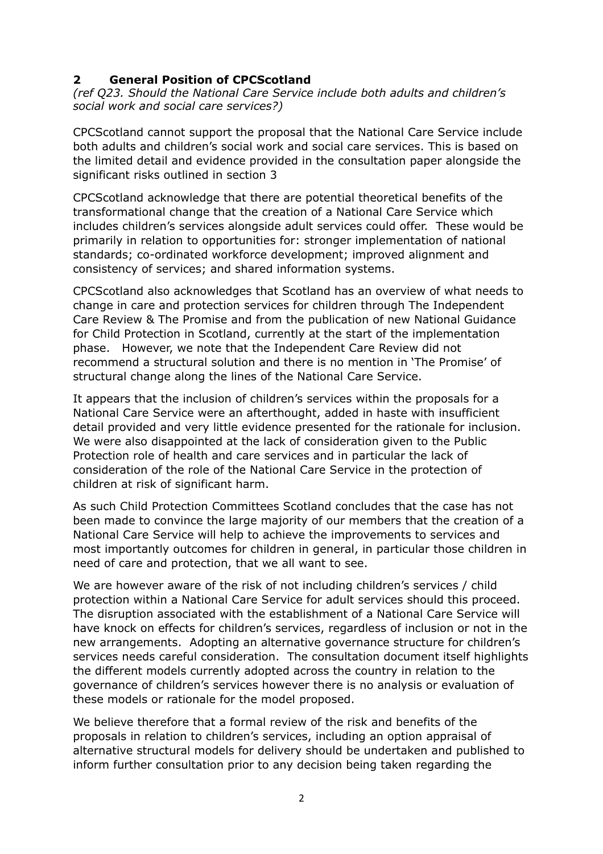## **2 General Position of CPCScotland**

*(ref Q23. Should the National Care Service include both adults and children's social work and social care services?)* 

CPCScotland cannot support the proposal that the National Care Service include both adults and children's social work and social care services. This is based on the limited detail and evidence provided in the consultation paper alongside the significant risks outlined in section 3

CPCScotland acknowledge that there are potential theoretical benefits of the transformational change that the creation of a National Care Service which includes children's services alongside adult services could offer. These would be primarily in relation to opportunities for: stronger implementation of national standards; co-ordinated workforce development; improved alignment and consistency of services; and shared information systems.

CPCScotland also acknowledges that Scotland has an overview of what needs to change in care and protection services for children through The Independent Care Review & The Promise and from the publication of new National Guidance for Child Protection in Scotland, currently at the start of the implementation phase. However, we note that the Independent Care Review did not recommend a structural solution and there is no mention in 'The Promise' of structural change along the lines of the National Care Service.

It appears that the inclusion of children's services within the proposals for a National Care Service were an afterthought, added in haste with insufficient detail provided and very little evidence presented for the rationale for inclusion. We were also disappointed at the lack of consideration given to the Public Protection role of health and care services and in particular the lack of consideration of the role of the National Care Service in the protection of children at risk of significant harm.

As such Child Protection Committees Scotland concludes that the case has not been made to convince the large majority of our members that the creation of a National Care Service will help to achieve the improvements to services and most importantly outcomes for children in general, in particular those children in need of care and protection, that we all want to see.

We are however aware of the risk of not including children's services / child protection within a National Care Service for adult services should this proceed. The disruption associated with the establishment of a National Care Service will have knock on effects for children's services, regardless of inclusion or not in the new arrangements. Adopting an alternative governance structure for children's services needs careful consideration. The consultation document itself highlights the different models currently adopted across the country in relation to the governance of children's services however there is no analysis or evaluation of these models or rationale for the model proposed.

We believe therefore that a formal review of the risk and benefits of the proposals in relation to children's services, including an option appraisal of alternative structural models for delivery should be undertaken and published to inform further consultation prior to any decision being taken regarding the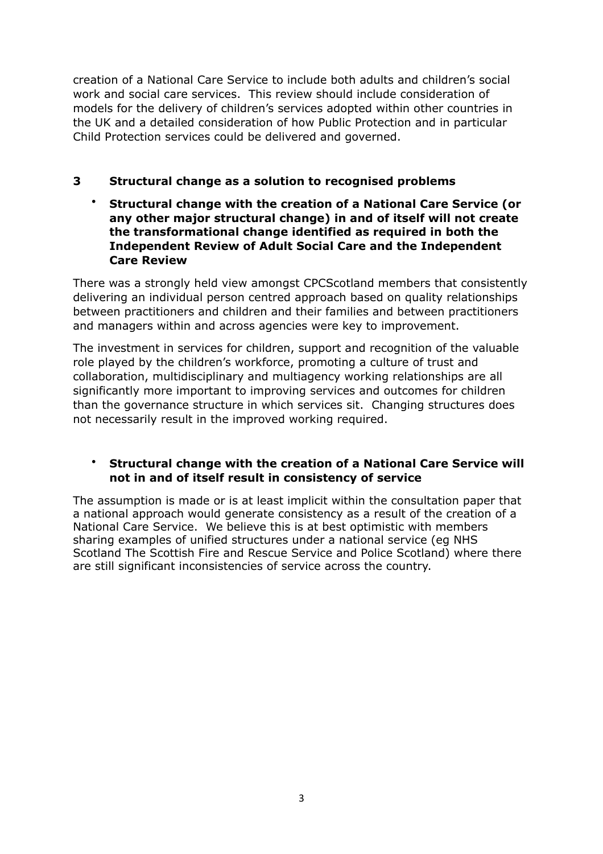creation of a National Care Service to include both adults and children's social work and social care services. This review should include consideration of models for the delivery of children's services adopted within other countries in the UK and a detailed consideration of how Public Protection and in particular Child Protection services could be delivered and governed.

# **3 Structural change as a solution to recognised problems**

• **Structural change with the creation of a National Care Service (or any other major structural change) in and of itself will not create the transformational change identified as required in both the Independent Review of Adult Social Care and the Independent Care Review** 

There was a strongly held view amongst CPCScotland members that consistently delivering an individual person centred approach based on quality relationships between practitioners and children and their families and between practitioners and managers within and across agencies were key to improvement.

The investment in services for children, support and recognition of the valuable role played by the children's workforce, promoting a culture of trust and collaboration, multidisciplinary and multiagency working relationships are all significantly more important to improving services and outcomes for children than the governance structure in which services sit. Changing structures does not necessarily result in the improved working required.

## • **Structural change with the creation of a National Care Service will not in and of itself result in consistency of service**

The assumption is made or is at least implicit within the consultation paper that a national approach would generate consistency as a result of the creation of a National Care Service. We believe this is at best optimistic with members sharing examples of unified structures under a national service (eg NHS Scotland The Scottish Fire and Rescue Service and Police Scotland) where there are still significant inconsistencies of service across the country.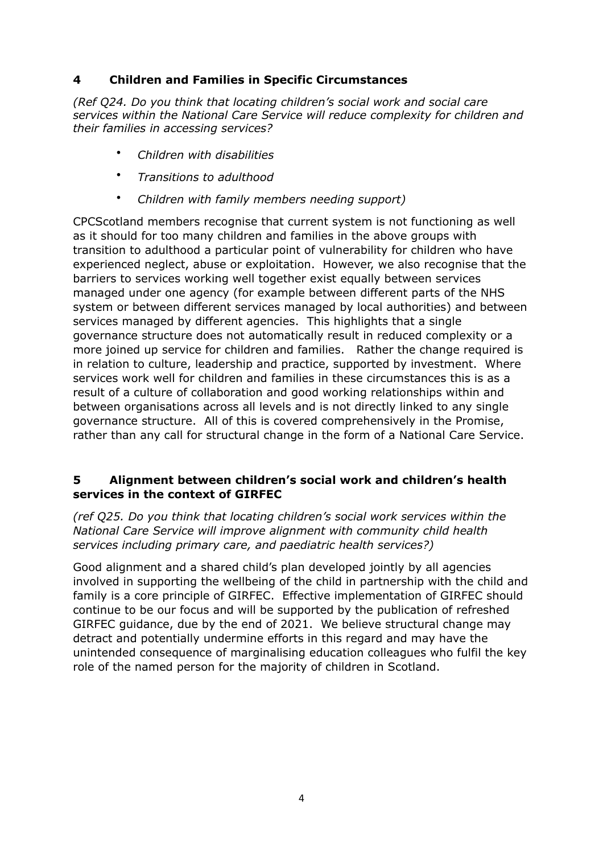## **4 Children and Families in Specific Circumstances**

*(Ref Q24. Do you think that locating children's social work and social care services within the National Care Service will reduce complexity for children and their families in accessing services?* 

- *Children with disabilities*
- *Transitions to adulthood*
- *Children with family members needing support)*

CPCScotland members recognise that current system is not functioning as well as it should for too many children and families in the above groups with transition to adulthood a particular point of vulnerability for children who have experienced neglect, abuse or exploitation. However, we also recognise that the barriers to services working well together exist equally between services managed under one agency (for example between different parts of the NHS system or between different services managed by local authorities) and between services managed by different agencies. This highlights that a single governance structure does not automatically result in reduced complexity or a more joined up service for children and families. Rather the change required is in relation to culture, leadership and practice, supported by investment. Where services work well for children and families in these circumstances this is as a result of a culture of collaboration and good working relationships within and between organisations across all levels and is not directly linked to any single governance structure. All of this is covered comprehensively in the Promise, rather than any call for structural change in the form of a National Care Service.

#### **5 Alignment between children's social work and children's health services in the context of GIRFEC**

*(ref Q25. Do you think that locating children's social work services within the National Care Service will improve alignment with community child health services including primary care, and paediatric health services?)* 

Good alignment and a shared child's plan developed jointly by all agencies involved in supporting the wellbeing of the child in partnership with the child and family is a core principle of GIRFEC. Effective implementation of GIRFEC should continue to be our focus and will be supported by the publication of refreshed GIRFEC guidance, due by the end of 2021. We believe structural change may detract and potentially undermine efforts in this regard and may have the unintended consequence of marginalising education colleagues who fulfil the key role of the named person for the majority of children in Scotland.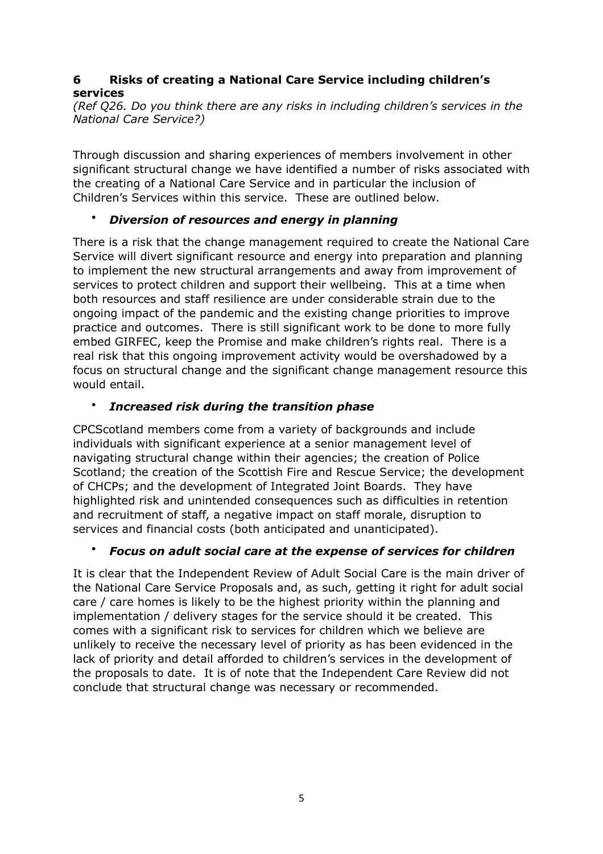# **6 Risks of creating a National Care Service including children's services**

*(Ref Q26. Do you think there are any risks in including children's services in the National Care Service?)* 

Through discussion and sharing experiences of members involvement in other significant structural change we have identified a number of risks associated with the creating of a National Care Service and in particular the inclusion of Children's Services within this service. These are outlined below.

# • *Diversion of resources and energy in planning*

There is a risk that the change management required to create the National Care Service will divert significant resource and energy into preparation and planning to implement the new structural arrangements and away from improvement of services to protect children and support their wellbeing. This at a time when both resources and staff resilience are under considerable strain due to the ongoing impact of the pandemic and the existing change priorities to improve practice and outcomes. There is still significant work to be done to more fully embed GIRFEC, keep the Promise and make children's rights real. There is a real risk that this ongoing improvement activity would be overshadowed by a focus on structural change and the significant change management resource this would entail.

# • *Increased risk during the transition phase*

CPCScotland members come from a variety of backgrounds and include individuals with significant experience at a senior management level of navigating structural change within their agencies; the creation of Police Scotland; the creation of the Scottish Fire and Rescue Service; the development of CHCPs; and the development of Integrated Joint Boards. They have highlighted risk and unintended consequences such as difficulties in retention and recruitment of staff, a negative impact on staff morale, disruption to services and financial costs (both anticipated and unanticipated).

# • *Focus on adult social care at the expense of services for children*

It is clear that the Independent Review of Adult Social Care is the main driver of the National Care Service Proposals and, as such, getting it right for adult social care / care homes is likely to be the highest priority within the planning and implementation / delivery stages for the service should it be created. This comes with a significant risk to services for children which we believe are unlikely to receive the necessary level of priority as has been evidenced in the lack of priority and detail afforded to children's services in the development of the proposals to date. It is of note that the Independent Care Review did not conclude that structural change was necessary or recommended.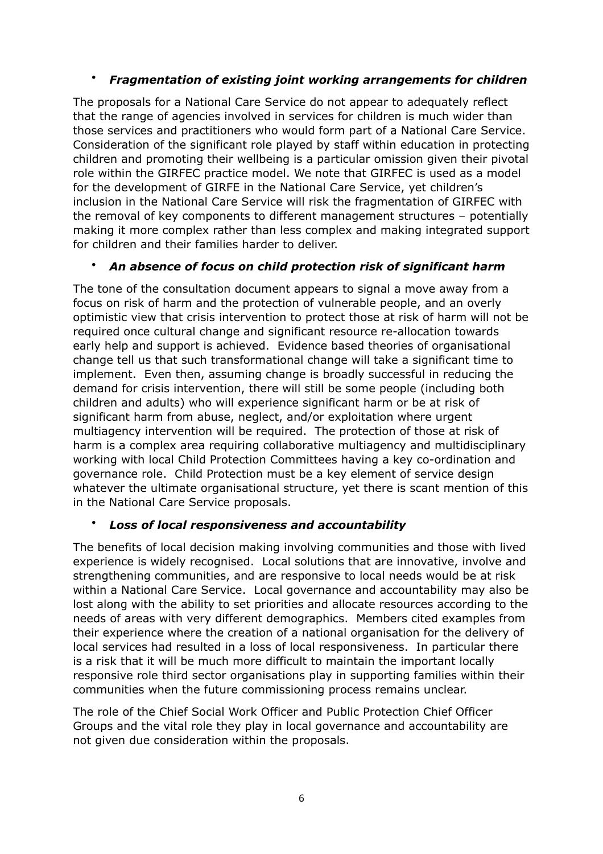# • *Fragmentation of existing joint working arrangements for children*

The proposals for a National Care Service do not appear to adequately reflect that the range of agencies involved in services for children is much wider than those services and practitioners who would form part of a National Care Service. Consideration of the significant role played by staff within education in protecting children and promoting their wellbeing is a particular omission given their pivotal role within the GIRFEC practice model. We note that GIRFEC is used as a model for the development of GIRFE in the National Care Service, yet children's inclusion in the National Care Service will risk the fragmentation of GIRFEC with the removal of key components to different management structures – potentially making it more complex rather than less complex and making integrated support for children and their families harder to deliver.

## • *An absence of focus on child protection risk of significant harm*

The tone of the consultation document appears to signal a move away from a focus on risk of harm and the protection of vulnerable people, and an overly optimistic view that crisis intervention to protect those at risk of harm will not be required once cultural change and significant resource re-allocation towards early help and support is achieved. Evidence based theories of organisational change tell us that such transformational change will take a significant time to implement. Even then, assuming change is broadly successful in reducing the demand for crisis intervention, there will still be some people (including both children and adults) who will experience significant harm or be at risk of significant harm from abuse, neglect, and/or exploitation where urgent multiagency intervention will be required. The protection of those at risk of harm is a complex area requiring collaborative multiagency and multidisciplinary working with local Child Protection Committees having a key co-ordination and governance role. Child Protection must be a key element of service design whatever the ultimate organisational structure, yet there is scant mention of this in the National Care Service proposals.

#### • *Loss of local responsiveness and accountability*

The benefits of local decision making involving communities and those with lived experience is widely recognised. Local solutions that are innovative, involve and strengthening communities, and are responsive to local needs would be at risk within a National Care Service. Local governance and accountability may also be lost along with the ability to set priorities and allocate resources according to the needs of areas with very different demographics. Members cited examples from their experience where the creation of a national organisation for the delivery of local services had resulted in a loss of local responsiveness. In particular there is a risk that it will be much more difficult to maintain the important locally responsive role third sector organisations play in supporting families within their communities when the future commissioning process remains unclear.

The role of the Chief Social Work Officer and Public Protection Chief Officer Groups and the vital role they play in local governance and accountability are not given due consideration within the proposals.